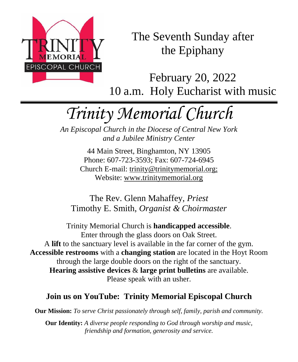

The Seventh Sunday after the Epiphany

February 20, 2022 10 a.m. Holy Eucharist with music

# *Trinity Memorial Church*

*An Episcopal Church in the Diocese of Central New York and a Jubilee Ministry Center*

> 44 Main Street, Binghamton, NY 13905 Phone: 607-723-3593; Fax: 607-724-6945 Church E-mail: trinity@trinitymemorial.org; Website: www.trinitymemorial.org

The Rev. Glenn Mahaffey, *Priest* Timothy E. Smith, *Organist & Choirmaster* 

Trinity Memorial Church is **handicapped accessible**. Enter through the glass doors on Oak Street. A **lift** to the sanctuary level is available in the far corner of the gym. **Accessible restrooms** with a **changing station** are located in the Hoyt Room through the large double doors on the right of the sanctuary. **Hearing assistive devices** & **large print bulletins** are available. Please speak with an usher.

# **Join us on YouTube: Trinity Memorial Episcopal Church**

**Our Mission:** *To serve Christ passionately through self, family, parish and community.*

**Our Identity:** *A diverse people responding to God through worship and music, friendship and formation, generosity and service.*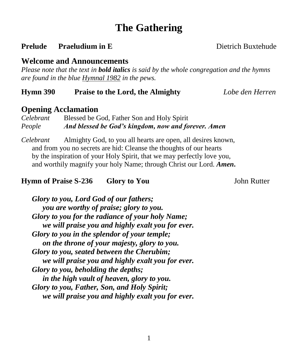# **The Gathering**

### **Prelude Praeludium in E** Dietrich Buxtehude

### **Welcome and Announcements**

*Please note that the text in bold italics is said by the whole congregation and the hymns are found in the blue Hymnal 1982 in the pews.*

### **Hymn 390 Praise to the Lord, the Almighty** *Lobe den Herren*

# **Opening Acclamation**

*Celebrant* Blessed be God, Father Son and Holy Spirit *People And blessed be God's kingdom, now and forever. Amen*

*Celebrant* Almighty God, to you all hearts are open, all desires known, and from you no secrets are hid: Cleanse the thoughts of our hearts by the inspiration of your Holy Spirit, that we may perfectly love you, and worthily magnify your holy Name; through Christ our Lord. *Amen***.**

### **Hymn of Praise S-236 •• Glory to You Gives John Rutter**

*Glory to you, Lord God of our fathers; you are worthy of praise; glory to you. Glory to you for the radiance of your holy Name; we will praise you and highly exalt you for ever. Glory to you in the splendor of your temple; on the throne of your majesty, glory to you. Glory to you, seated between the Cherubim; we will praise you and highly exalt you for ever. Glory to you, beholding the depths; in the high vault of heaven, glory to you. Glory to you, Father, Son, and Holy Spirit; we will praise you and highly exalt you for ever.*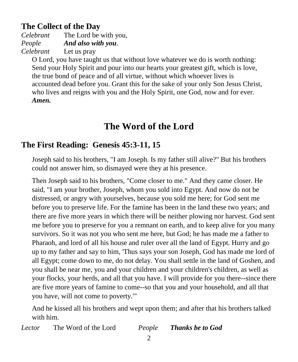# **The Collect of the Day**

*Celebrant* The Lord be with you, *People And also with you. Celebrant* Let us pray

O Lord, you have taught us that without love whatever we do is worth nothing: Send your Holy Spirit and pour into our hearts your greatest gift, which is love, the true bond of peace and of all virtue, without which whoever lives is accounted dead before you. Grant this for the sake of your only Son Jesus Christ, who lives and reigns with you and the Holy Spirit, one God, now and for ever. *Amen.*

# **The Word of the Lord**

# **The First Reading: Genesis 45:3-11, 15**

Joseph said to his brothers, "I am Joseph. Is my father still alive?" But his brothers could not answer him, so dismayed were they at his presence.

Then Joseph said to his brothers, "Come closer to me." And they came closer. He said, "I am your brother, Joseph, whom you sold into Egypt. And now do not be distressed, or angry with yourselves, because you sold me here; for God sent me before you to preserve life. For the famine has been in the land these two years; and there are five more years in which there will be neither plowing nor harvest. God sent me before you to preserve for you a remnant on earth, and to keep alive for you many survivors. So it was not you who sent me here, but God; he has made me a father to Pharaoh, and lord of all his house and ruler over all the land of Egypt. Hurry and go up to my father and say to him, 'Thus says your son Joseph, God has made me lord of all Egypt; come down to me, do not delay. You shall settle in the land of Goshen, and you shall be near me, you and your children and your children's children, as well as your flocks, your herds, and all that you have. I will provide for you there--since there are five more years of famine to come--so that you and your household, and all that you have, will not come to poverty.'"

And he kissed all his brothers and wept upon them; and after that his brothers talked with him.

*Lector* The Word of the Lord *People Thanks be to God*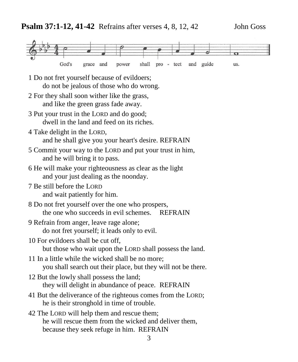

- 1 Do not fret yourself because of evildoers; do not be jealous of those who do wrong.
- 2 For they shall soon wither like the grass, and like the green grass fade away.
- 3 Put your trust in the LORD and do good; dwell in the land and feed on its riches.
- 4 Take delight in the LORD, and he shall give you your heart's desire. REFRAIN
- 5 Commit your way to the LORD and put your trust in him, and he will bring it to pass.
- 6 He will make your righteousness as clear as the light and your just dealing as the noonday.
- 7 Be still before the LORD and wait patiently for him.
- 8 Do not fret yourself over the one who prospers, the one who succeeds in evil schemes. REFRAIN
- 9 Refrain from anger, leave rage alone; do not fret yourself; it leads only to evil.
- 10 For evildoers shall be cut off, but those who wait upon the LORD shall possess the land.
- 11 In a little while the wicked shall be no more; you shall search out their place, but they will not be there.
- 12 But the lowly shall possess the land; they will delight in abundance of peace. REFRAIN
- 41 But the deliverance of the righteous comes from the LORD; he is their stronghold in time of trouble.
- 42 The LORD will help them and rescue them; he will rescue them from the wicked and deliver them, because they seek refuge in him. REFRAIN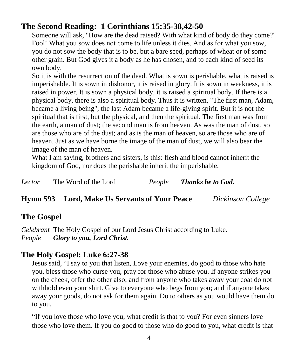# **The Second Reading: 1 Corinthians 15:35-38,42-50**

Someone will ask, "How are the dead raised? With what kind of body do they come?" Fool! What you sow does not come to life unless it dies. And as for what you sow, you do not sow the body that is to be, but a bare seed, perhaps of wheat or of some other grain. But God gives it a body as he has chosen, and to each kind of seed its own body.

So it is with the resurrection of the dead. What is sown is perishable, what is raised is imperishable. It is sown in dishonor, it is raised in glory. It is sown in weakness, it is raised in power. It is sown a physical body, it is raised a spiritual body. If there is a physical body, there is also a spiritual body. Thus it is written, "The first man, Adam, became a living being"; the last Adam became a life-giving spirit. But it is not the spiritual that is first, but the physical, and then the spiritual. The first man was from the earth, a man of dust; the second man is from heaven. As was the man of dust, so are those who are of the dust; and as is the man of heaven, so are those who are of heaven. Just as we have borne the image of the man of dust, we will also bear the image of the man of heaven.

What I am saying, brothers and sisters, is this: flesh and blood cannot inherit the kingdom of God, nor does the perishable inherit the imperishable.

| Lector | The Word of the Lord | People | <b>Thanks be to God.</b> |  |
|--------|----------------------|--------|--------------------------|--|
|--------|----------------------|--------|--------------------------|--|

### **Hymn 593 Lord, Make Us Servants of Your Peace** *Dickinson College*

# **The Gospel**

*Celebrant* The Holy Gospel of our Lord Jesus Christ according to Luke. *People Glory to you, Lord Christ.*

# **The Holy Gospel: Luke 6:27-38**

Jesus said, "I say to you that listen, Love your enemies, do good to those who hate you, bless those who curse you, pray for those who abuse you. If anyone strikes you on the cheek, offer the other also; and from anyone who takes away your coat do not withhold even your shirt. Give to everyone who begs from you; and if anyone takes away your goods, do not ask for them again. Do to others as you would have them do to you.

"If you love those who love you, what credit is that to you? For even sinners love those who love them. If you do good to those who do good to you, what credit is that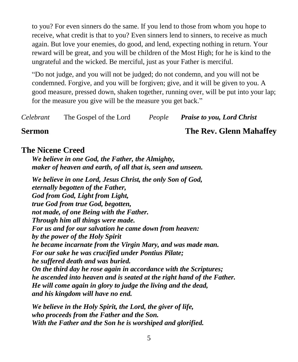to you? For even sinners do the same. If you lend to those from whom you hope to receive, what credit is that to you? Even sinners lend to sinners, to receive as much again. But love your enemies, do good, and lend, expecting nothing in return. Your reward will be great, and you will be children of the Most High; for he is kind to the ungrateful and the wicked. Be merciful, just as your Father is merciful.

"Do not judge, and you will not be judged; do not condemn, and you will not be condemned. Forgive, and you will be forgiven; give, and it will be given to you. A good measure, pressed down, shaken together, running over, will be put into your lap; for the measure you give will be the measure you get back."

*Celebrant* The Gospel of the Lord *People Praise to you, Lord Christ*

### **Sermon The Rev. Glenn Mahaffey**

### **The Nicene Creed**

*We believe in one God, the Father, the Almighty, maker of heaven and earth, of all that is, seen and unseen.*

*We believe in one Lord, Jesus Christ, the only Son of God, eternally begotten of the Father, God from God, Light from Light, true God from true God, begotten, not made, of one Being with the Father. Through him all things were made. For us and for our salvation he came down from heaven: by the power of the Holy Spirit he became incarnate from the Virgin Mary, and was made man. For our sake he was crucified under Pontius Pilate; he suffered death and was buried. On the third day he rose again in accordance with the Scriptures; he ascended into heaven and is seated at the right hand of the Father. He will come again in glory to judge the living and the dead, and his kingdom will have no end.*

*We believe in the Holy Spirit, the Lord, the giver of life, who proceeds from the Father and the Son. With the Father and the Son he is worshiped and glorified.*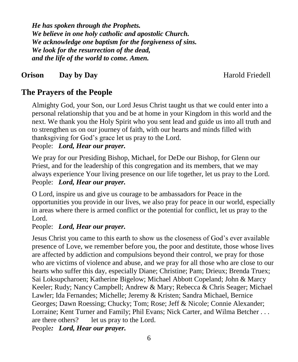*He has spoken through the Prophets. We believe in one holy catholic and apostolic Church. We acknowledge one baptism for the forgiveness of sins. We look for the resurrection of the dead, and the life of the world to come. Amen.*

# **Orison** Day by Day **Exercise 2018** Harold Friedell

# **The Prayers of the People**

Almighty God, your Son, our Lord Jesus Christ taught us that we could enter into a personal relationship that you and be at home in your Kingdom in this world and the next. We thank you the Holy Spirit who you sent lead and guide us into all truth and to strengthen us on our journey of faith, with our hearts and minds filled with thanksgiving for God's grace let us pray to the Lord.

People: *Lord, Hear our prayer.* 

We pray for our Presiding Bishop, Michael, for DeDe our Bishop, for Glenn our Priest, and for the leadership of this congregation and its members, that we may always experience Your living presence on our life together, let us pray to the Lord. People: *Lord, Hear our prayer.* 

O Lord, inspire us and give us courage to be ambassadors for Peace in the opportunities you provide in our lives, we also pray for peace in our world, especially in areas where there is armed conflict or the potential for conflict, let us pray to the Lord.

### People: *Lord, Hear our prayer.*

Jesus Christ you came to this earth to show us the closeness of God's ever available presence of Love, we remember before you, the poor and destitute, those whose lives are affected by addiction and compulsions beyond their control, we pray for those who are victims of violence and abuse, and we pray for all those who are close to our hearts who suffer this day, especially Diane; Christine; Pam; Drieux; Brenda Truex; Sai Loksupcharoen; Katherine Bigelow; Michael Abbott Copeland; John & Marcy Keeler; Rudy; Nancy Campbell; Andrew & Mary; Rebecca & Chris Seager; Michael Lawler; Ida Fernandes; Michelle; Jeremy & Kristen; Sandra Michael, Bernice Georges; Dawn Roessing; Chucky; Tom; Rose; Jeff & Nicole; Connie Alexander; Lorraine; Kent Turner and Family; Phil Evans; Nick Carter, and Wilma Betcher . . . are there others? let us pray to the Lord.

People*: Lord, Hear our prayer.*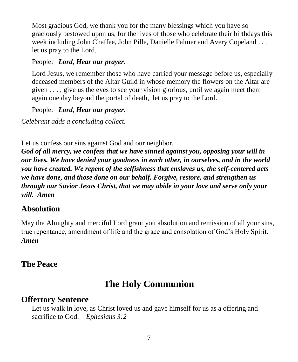Most gracious God, we thank you for the many blessings which you have so graciously bestowed upon us, for the lives of those who celebrate their birthdays this week including John Chaffee, John Pille, Danielle Palmer and Avery Copeland . . . let us pray to the Lord.

### People: *Lord, Hear our prayer.*

Lord Jesus, we remember those who have carried your message before us, especially deceased members of the Altar Guild in whose memory the flowers on the Altar are given . . . , give us the eyes to see your vision glorious, until we again meet them again one day beyond the portal of death, let us pray to the Lord.

### People: *Lord, Hear our prayer.*

*Celebrant adds a concluding collect.* 

Let us confess our sins against God and our neighbor.

*God of all mercy, we confess that we have sinned against you, opposing your will in our lives. We have denied your goodness in each other, in ourselves, and in the world you have created. We repent of the selfishness that enslaves us, the self-centered acts we have done, and those done on our behalf. Forgive, restore, and strengthen us through our Savior Jesus Christ, that we may abide in your love and serve only your will. Amen*

# **Absolution**

May the Almighty and merciful Lord grant you absolution and remission of all your sins, true repentance, amendment of life and the grace and consolation of God's Holy Spirit. *Amen*

# **The Peace**

# **The Holy Communion**

# **Offertory Sentence**

Let us walk in love, as Christ loved us and gave himself for us as a offering and sacrifice to God. *Ephesians 3:2*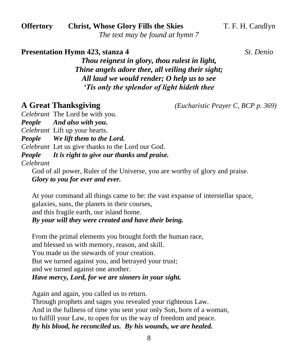**Offertory** Christ, Whose Glory Fills the Skies T. F. H. Candlyn

*The text may be found at hymn 7*

**Presentation Hymn 423, stanza 4** *St. Denio*

*Thou reignest in glory, thou rulest in light, Thine angels adore thee, all veiling their sight; All laud we would render; O help us to see 'Tis only the splendor of light hideth thee*

**A Great Thanksgiving** *(Eucharistic Prayer C, BCP p. 369)*

*Celebrant* The Lord be with you.

*People And also with you***.**

*Celebrant* Lift up your hearts.

*People We lift them to the Lord.*

*Celebrant* Let us give thanks to the Lord our God.

*People It is right to give our thanks and praise.*

*Celebrant* 

God of all power, Ruler of the Universe, you are worthy of glory and praise. *Glory to you for ever and ever.*

At your command all things came to be: the vast expanse of interstellar space, galaxies, suns, the planets in their courses, and this fragile earth, our island home. *By your will they were created and have their being.*

From the primal elements you brought forth the human race, and blessed us with memory, reason, and skill. You made us the stewards of your creation. But we turned against you, and betrayed your trust; and we turned against one another. *Have mercy, Lord, for we are sinners in your sight.*

Again and again, you called us to return. Through prophets and sages you revealed your righteous Law. And in the fullness of time you sent your only Son, born of a woman, to fulfill your Law, to open for us the way of freedom and peace. *By his blood, he reconciled us. By his wounds, we are healed.*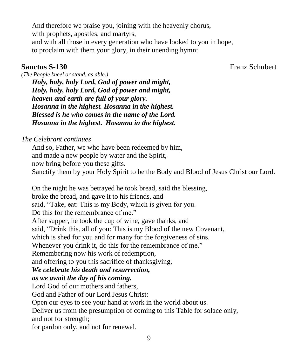And therefore we praise you, joining with the heavenly chorus, with prophets, apostles, and martyrs, and with all those in every generation who have looked to you in hope,

to proclaim with them your glory, in their unending hymn:

**Sanctus S-130** Franz Schubert

*(The People kneel or stand, as able.) Holy, holy, holy Lord, God of power and might, Holy, holy, holy Lord, God of power and might, heaven and earth are full of your glory. Hosanna in the highest. Hosanna in the highest. Blessed is he who comes in the name of the Lord. Hosanna in the highest***.** *Hosanna in the highest.* 

*The Celebrant continues*

And so, Father, we who have been redeemed by him, and made a new people by water and the Spirit, now bring before you these gifts. Sanctify them by your Holy Spirit to be the Body and Blood of Jesus Christ our Lord.

On the night he was betrayed he took bread, said the blessing,

broke the bread, and gave it to his friends, and

said, "Take, eat: This is my Body, which is given for you.

Do this for the remembrance of me."

After supper, he took the cup of wine, gave thanks, and

said, "Drink this, all of you: This is my Blood of the new Covenant,

which is shed for you and for many for the forgiveness of sins.

Whenever you drink it, do this for the remembrance of me."

Remembering now his work of redemption,

and offering to you this sacrifice of thanksgiving,

### *We celebrate his death and resurrection,*

*as we await the day of his coming.*

Lord God of our mothers and fathers,

God and Father of our Lord Jesus Christ:

Open our eyes to see your hand at work in the world about us.

Deliver us from the presumption of coming to this Table for solace only, and not for strength;

for pardon only, and not for renewal.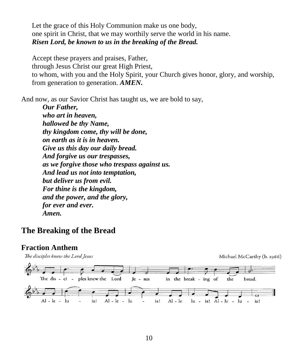Let the grace of this Holy Communion make us one body, one spirit in Christ, that we may worthily serve the world in his name. *Risen Lord, be known to us in the breaking of the Bread.*

Accept these prayers and praises, Father, through Jesus Christ our great High Priest, to whom, with you and the Holy Spirit, your Church gives honor, glory, and worship, from generation to generation. *AMEN***.**

And now, as our Savior Christ has taught us, we are bold to say,

*Our Father, who art in heaven, hallowed be thy Name, thy kingdom come, thy will be done, on earth as it is in heaven. Give us this day our daily bread. And forgive us our trespasses, as we forgive those who trespass against us. And lead us not into temptation, but deliver us from evil. For thine is the kingdom, and the power, and the glory, for ever and ever. Amen.*

# **The Breaking of the Bread**

### **Fraction Anthem**

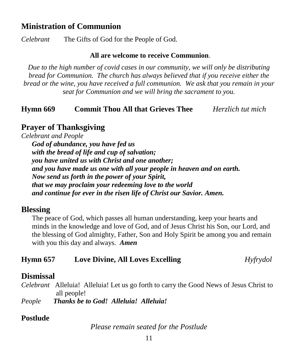# **Ministration of Communion**

*Celebrant* The Gifts of God for the People of God.

### **All are welcome to receive Communion**.

*Due to the high number of covid cases in our community, we will only be distributing bread for Communion. The church has always believed that if you receive either the bread or the wine, you have received a full communion. We ask that you remain in your seat for Communion and we will bring the sacrament to you.*

### **Hymn 669 Commit Thou All that Grieves Thee** *Herzlich tut mich*

# **Prayer of Thanksgiving**

*Celebrant and People*

*God of abundance, you have fed us with the bread of life and cup of salvation; you have united us with Christ and one another; and you have made us one with all your people in heaven and on earth. Now send us forth in the power of your Spirit, that we may proclaim your redeeming love to the world and continue for ever in the risen life of Christ our Savior. Amen.*

### **Blessing**

The peace of God, which passes all human understanding, keep your hearts and minds in the knowledge and love of God, and of Jesus Christ his Son, our Lord, and the blessing of God almighty, Father, Son and Holy Spirit be among you and remain with you this day and always. *Amen*

| Hymn 657 | <b>Love Divine, All Loves Excelling</b> | Hyfrydol |
|----------|-----------------------------------------|----------|
|----------|-----------------------------------------|----------|

### **Dismissal**

*Celebrant* Alleluia! Alleluia! Let us go forth to carry the Good News of Jesus Christ to all people!

*People Thanks be to God! Alleluia! Alleluia!*

### **Postlude**

*Please remain seated for the Postlude*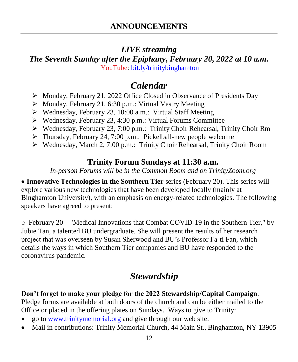# *LIVE streaming*

*The Seventh Sunday after the Epiphany***,** *February 20, 2022 at 10 a.m.* [YouTube:](https://bit.ly/trinitybinghamton) [bit.ly/trinitybinghamton](https://bit.ly/trinitybinghamton)

# *Calendar*

- ➢ Monday, February 21, 2022 Office Closed in Observance of Presidents Day
- ➢ Monday, February 21, 6:30 p.m.: Virtual Vestry Meeting
- ➢ Wednesday, February 23, 10:00 a.m.: Virtual Staff Meeting
- ➢ Wednesday, February 23, 4:30 p.m.: Virtual Forums Committee
- ➢ Wednesday, February 23, 7:00 p.m.: Trinity Choir Rehearsal, Trinity Choir Rm
- ➢ Thursday, February 24, 7:00 p.m.: Pickelball-new people welcome
- ➢ Wednesday, March 2, 7:00 p.m.: Trinity Choir Rehearsal, Trinity Choir Room

# **Trinity Forum Sundays at 11:30 a.m.**

*In-person Forums will be in the Common Room and on TrinityZoom.org*

• **Innovative Technologies in the Southern Tier** series (February 20). This series will explore various new technologies that have been developed locally (mainly at Binghamton University), with an emphasis on energy-related technologies. The following speakers have agreed to present:

o February 20 – "Medical Innovations that Combat COVID-19 in the Southern Tier," by Jubie Tan, a talented BU undergraduate. She will present the results of her research project that was overseen by Susan Sherwood and BU's Professor Fa-ti Fan, which details the ways in which Southern Tier companies and BU have responded to the coronavirus pandemic.

# *Stewardship*

# **Don't forget to make your pledge for the 2022 Stewardship/Capital Campaign**.

Pledge forms are available at both doors of the church and can be either mailed to the Office or placed in the offering plates on Sundays. Ways to give to Trinity:

- go to [www.trinitymemorial.org](http://www.trinitymemorial.org/) and give through our web site.
- Mail in contributions: Trinity Memorial Church, 44 Main St., Binghamton, NY 13905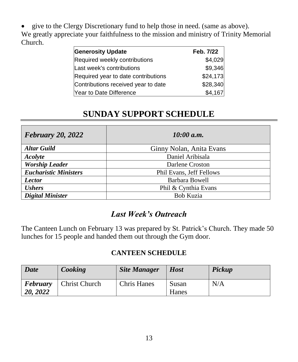• give to the Clergy Discretionary fund to help those in need. (same as above). We greatly appreciate your faithfulness to the mission and ministry of Trinity Memorial Church.

| <b>Generosity Update</b>            | Feb. 7/22 |
|-------------------------------------|-----------|
| Required weekly contributions       | \$4,029   |
| Last week's contributions           | \$9,346   |
| Required year to date contributions | \$24,173  |
| Contributions received year to date | \$28,340  |
| Year to Date Difference             | \$4,167   |

# **SUNDAY SUPPORT SCHEDULE**

| <b>February 20, 2022</b>     | 10:00 a.m.               |  |  |
|------------------------------|--------------------------|--|--|
| <b>Altar Guild</b>           | Ginny Nolan, Anita Evans |  |  |
| Acolyte                      | Daniel Aribisala         |  |  |
| <b>Worship Leader</b>        | Darlene Croston          |  |  |
| <b>Eucharistic Ministers</b> | Phil Evans, Jeff Fellows |  |  |
| <b>Lector</b>                | Barbara Bowell           |  |  |
| <b>Ushers</b>                | Phil & Cynthia Evans     |  |  |
| <b>Digital Minister</b>      | <b>Bob Kuzia</b>         |  |  |

# *Last Week's Outreach*

The Canteen Lunch on February 13 was prepared by St. Patrick's Church. They made 50 lunches for 15 people and handed them out through the Gym door.

### **CANTEEN SCHEDULE**

| <b>Date</b>          | Cooking              | <b>Site Manager</b> | <b>Host</b>    | Pickup |
|----------------------|----------------------|---------------------|----------------|--------|
| February<br>20, 2022 | <b>Christ Church</b> | <b>Chris Hanes</b>  | Susan<br>Hanes | N/A    |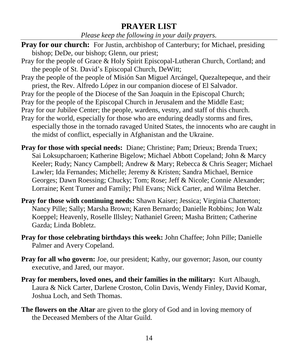# **PRAYER LIST**

*Please keep the following in your daily prayers.*

- **Pray for our church:** For Justin, archbishop of Canterbury; for Michael, presiding bishop; DeDe, our bishop; Glenn, our priest;
- Pray for the people of Grace & Holy Spirit Episcopal-Lutheran Church, Cortland; and the people of St. David's Episcopal Church, DeWitt;
- Pray the people of the people of Misión San Miguel Arcángel, Quezaltepeque, and their priest, the Rev. Alfredo López in our companion diocese of El Salvador.
- Pray for the people of the Diocese of the San Joaquin in the Episcopal Church;
- Pray for the people of the Episcopal Church in Jerusalem and the Middle East;
- Pray for our Jubilee Center; the people, wardens, vestry, and staff of this church.
- Pray for the world, especially for those who are enduring deadly storms and fires, especially those in the tornado ravaged United States, the innocents who are caught in the midst of conflict, especially in Afghanistan and the Ukraine.
- **Pray for those with special needs:** Diane; Christine; Pam; Drieux; Brenda Truex; Sai Loksupcharoen; Katherine Bigelow; Michael Abbott Copeland; John & Marcy Keeler; Rudy; Nancy Campbell; Andrew & Mary; Rebecca & Chris Seager; Michael Lawler; Ida Fernandes; Michelle; Jeremy & Kristen; Sandra Michael, Bernice Georges; Dawn Roessing; Chucky; Tom; Rose; Jeff & Nicole; Connie Alexander; Lorraine; Kent Turner and Family; Phil Evans; Nick Carter, and Wilma Betcher.
- **Pray for those with continuing needs:** Shawn Kaiser; Jessica; Virginia Chatterton; Nancy Pille; Sally; Marsha Brown; Karen Bernardo; Danielle Robbins; Jon Walz Koeppel; Heavenly, Roselle Illsley; Nathaniel Green; Masha Britten; Catherine Gazda; Linda Bobletz.
- **Pray for those celebrating birthdays this week:** John Chaffee; John Pille; Danielle Palmer and Avery Copeland.
- **Pray for all who govern:** Joe, our president; Kathy, our governor; Jason, our county executive, and Jared, our mayor.
- **Pray for members, loved ones, and their families in the military:** Kurt Albaugh, Laura & Nick Carter, Darlene Croston, Colin Davis, Wendy Finley, David Komar, Joshua Loch, and Seth Thomas.
- **The flowers on the Altar** are given to the glory of God and in loving memory of the Deceased Members of the Altar Guild.